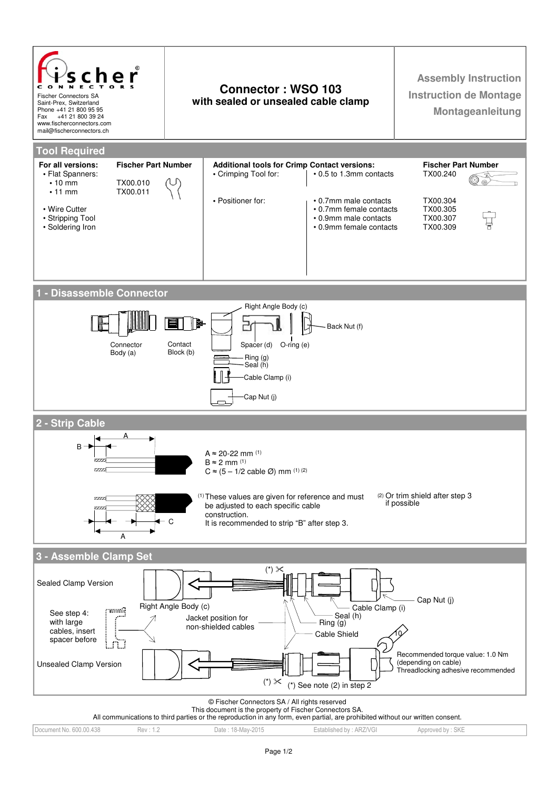